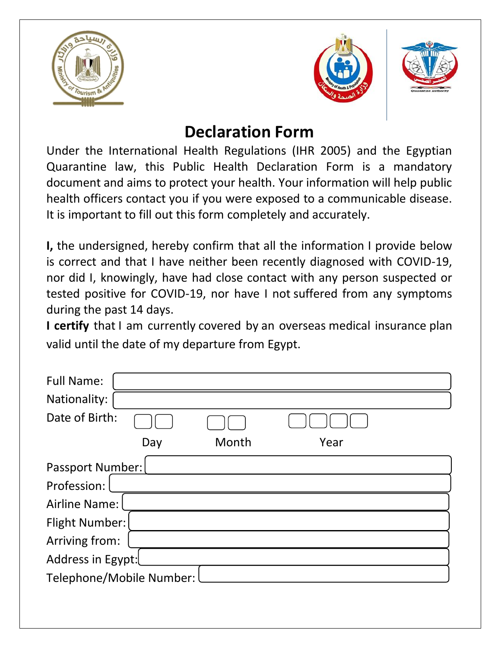





## **Declaration Form**

Under the International Health Regulations (IHR 2005) and the Egyptian Quarantine law, this Public Health Declaration Form is a mandatory document and aims to protect your health. Your information will help public health officers contact you if you were exposed to a communicable disease. It is important to fill out this form completely and accurately.

**I,** the undersigned, hereby confirm that all the information I provide below is correct and that I have neither been recently diagnosed with COVID-19, nor did I, knowingly, have had close contact with any person suspected or tested positive for COVID-19, nor have I not suffered from any symptoms during the past 14 days.

**I certify** that I am currently covered by an overseas medical insurance plan valid until the date of my departure from Egypt.

| <b>Full Name:</b>        |     |       |      |  |  |
|--------------------------|-----|-------|------|--|--|
| Nationality:             |     |       |      |  |  |
| Date of Birth:           |     |       |      |  |  |
|                          | Day | Month | Year |  |  |
| <b>Passport Number:</b>  |     |       |      |  |  |
| Profession:              |     |       |      |  |  |
| <b>Airline Name:</b>     |     |       |      |  |  |
| <b>Flight Number:</b>    |     |       |      |  |  |
| Arriving from:           |     |       |      |  |  |
| Address in Egypt:        |     |       |      |  |  |
| Telephone/Mobile Number: |     |       |      |  |  |